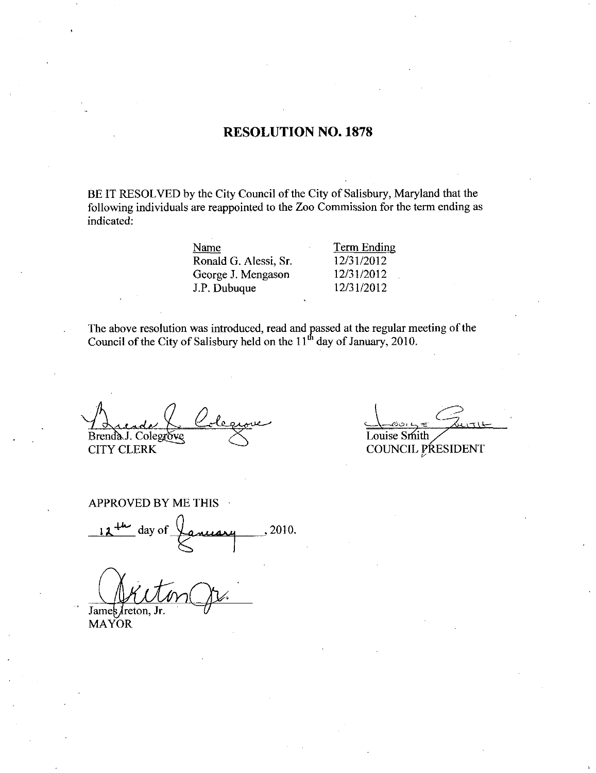## RESOLUTION NO. 1878

BE IT RESOLVED by the City Council of the City of Salisbury, Maryland that the following individuals are reappointed to the Zoo Commission for the term ending as indicated

| Name                  | <b>Term Ending</b> |
|-----------------------|--------------------|
| Ronald G. Alessi, Sr. | 12/31/2012         |
| George J. Mengason    | 12/31/2012         |
| J.P. Dubuque          | 12/31/2012         |
|                       |                    |

The above resolution was introduced, read and passed at the regular meeting of the Council of the City of Salisbury held on the  $11<sup>th</sup>$  day of January, 2010.

Brenda J. Colegrove

CITY CLERK

Louise Smith

COUNCIL PRESIDENT

APPROVED BY ME THIS<br>12<sup>th</sup> day of  $\sqrt{\frac{2\pi u}{\pi}}$ , 2010.

James *Jreton*, Jr.

MAYOR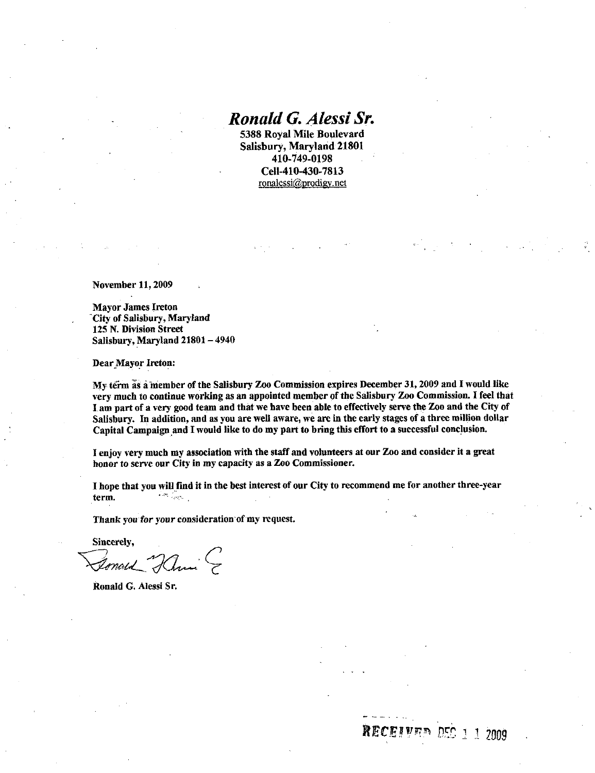# Ronald G. Alessi Sr.

5388 Royal Mile Boulevard Salisbury, Maryland 21801 Royal Mile Boulev<br>
bury, Maryland 21<br>
410-749-0198<br>
Cell-410-430-7813<br>
onalessi@prodigy.net ronalessi@prodigy.net

November 11, 2009

Mayor James Ireton City of Salisbury, Maryland 125 N. Division Street Salisbury, Maryland 21801 - 4940

Dear Mayor Ireton

My term as <sup>a</sup> member of the Salisbury Zoo Commission expires December <sup>31</sup> <sup>2009</sup> and <sup>I</sup>would like very much to continue working as an appointed member of the Salisbury Zoo Commission. I feel that I am part of a very good team and that we have been able to effectively serve the Zoo and the City of Salisbury. In addition, and as you are well aware, we are in the early stages of a three million dollar Capital Campaign and Iwould like to do my part to bring this effort to <sup>a</sup> successful conclusion Mayor Ireton:<br>
frm as a member of t<br>
frm as a member of the nuch to continue work<br>
part of a very good to<br>
uury. In addition, an<br>
al Campaign and I w<br>
y very much my asse<br>
to serve our City in<br>
that you will find it<br>
that

I enjoy very much my association with the staff and volunteers at our Zoo and consider it agreat honor to serve our City in my capacity as a Zoo Commissioner.

I hope that you will find it in the best interest of our City to recommend me for another three-year term term

Thank you for your consideration of my request

Sincerely,<br>*Ionald Hami* &

Ronald G Alessi Sr

**RECEIVED DEC 1 1 2009**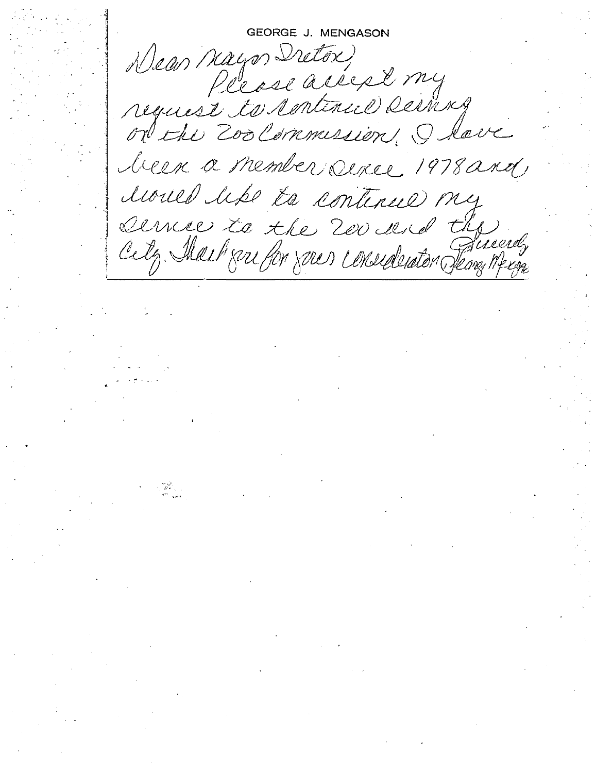GEORGE J. MENGASON Please accept my request to continue serving on the Zoolemmersion, I have licen a member serce 1978 and lioned hs to continue my service to the 200 des de the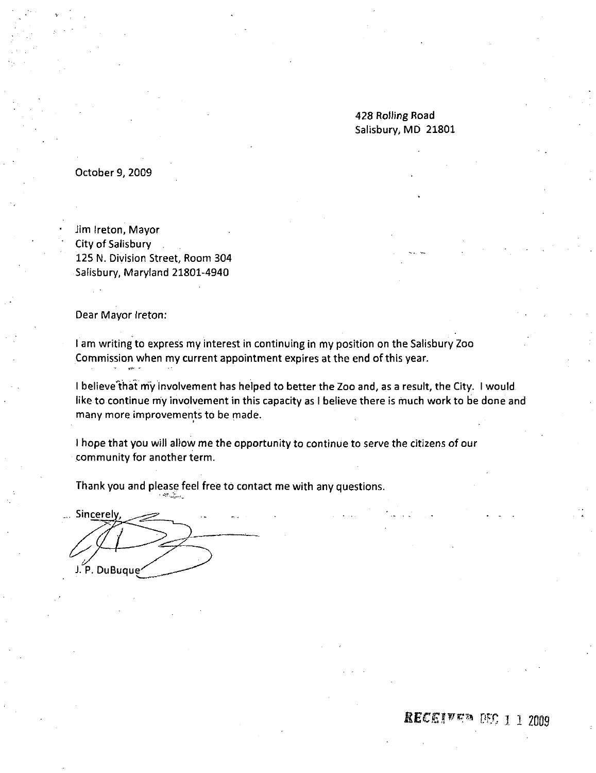428 Rolling Road Salisbury, MD 21801

October 9, 2009

Jim Ireton, Mayor City of Salisbury 125 N. Division Street, Room 304 Salisbury, Maryland 21801-4940

Dear Mayor Ireton

<sup>I</sup> am writing to express my interest in continuing in my position on the Salisbury Zoo Commission when my current appointment expires at the end of this year

I believe that my involvement has helped to better the Zoo and, as a result, the City. I would like to continue my involvement in this capacity as <sup>I</sup> believe there is much work to be done and many more improvements to be made

<sup>I</sup> hope that you will allow me the opportunity to continue to serve the citizens of our community for another term

Thank you and please feel free to contact me with any questions.

Sincerely, J. P. DuBuque